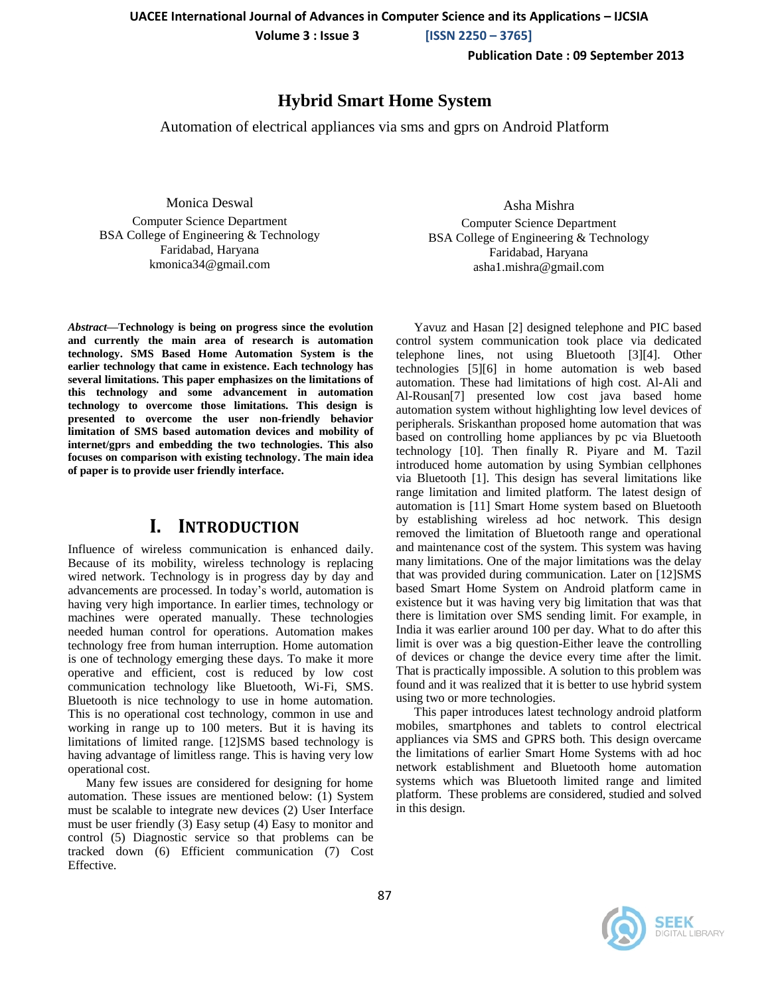**UACEE International Journal of Advances in Computer Science and its Applications – IJCSIA**

 **Volume 3 : Issue 3 [ISSN 2250 – 3765]**

**Publication Date : 09 September 2013**

## **Hybrid Smart Home System**

Automation of electrical appliances via sms and gprs on Android Platform

Monica Deswal

Computer Science Department BSA College of Engineering & Technology Faridabad, Haryana kmonica34@gmail.com

*Abstract***—Technology is being on progress since the evolution and currently the main area of research is automation technology. SMS Based Home Automation System is the earlier technology that came in existence. Each technology has several limitations. This paper emphasizes on the limitations of this technology and some advancement in automation technology to overcome those limitations. This design is presented to overcome the user non-friendly behavior limitation of SMS based automation devices and mobility of internet/gprs and embedding the two technologies. This also focuses on comparison with existing technology. The main idea of paper is to provide user friendly interface.**

# **I. INTRODUCTION**

Influence of wireless communication is enhanced daily. Because of its mobility, wireless technology is replacing wired network. Technology is in progress day by day and advancements are processed. In today's world, automation is having very high importance. In earlier times, technology or machines were operated manually. These technologies needed human control for operations. Automation makes technology free from human interruption. Home automation is one of technology emerging these days. To make it more operative and efficient, cost is reduced by low cost communication technology like Bluetooth, Wi-Fi, SMS. Bluetooth is nice technology to use in home automation. This is no operational cost technology, common in use and working in range up to 100 meters. But it is having its limitations of limited range. [12]SMS based technology is having advantage of limitless range. This is having very low operational cost.

Many few issues are considered for designing for home automation. These issues are mentioned below: (1) System must be scalable to integrate new devices (2) User Interface must be user friendly (3) Easy setup (4) Easy to monitor and control (5) Diagnostic service so that problems can be tracked down (6) Efficient communication (7) Cost Effective.

Asha Mishra Computer Science Department BSA College of Engineering & Technology Faridabad, Haryana asha1.mishra@gmail.com

Yavuz and Hasan [2] designed telephone and PIC based control system communication took place via dedicated telephone lines, not using Bluetooth [3][4]. Other technologies [5][6] in home automation is web based automation. These had limitations of high cost. Al-Ali and Al-Rousan[7] presented low cost java based home automation system without highlighting low level devices of peripherals. Sriskanthan proposed home automation that was based on controlling home appliances by pc via Bluetooth technology [10]. Then finally R. Piyare and M. Tazil introduced home automation by using Symbian cellphones via Bluetooth [1]. This design has several limitations like range limitation and limited platform. The latest design of automation is [11] Smart Home system based on Bluetooth by establishing wireless ad hoc network. This design removed the limitation of Bluetooth range and operational and maintenance cost of the system. This system was having many limitations. One of the major limitations was the delay that was provided during communication. Later on [12]SMS based Smart Home System on Android platform came in existence but it was having very big limitation that was that there is limitation over SMS sending limit. For example, in India it was earlier around 100 per day. What to do after this limit is over was a big question-Either leave the controlling of devices or change the device every time after the limit. That is practically impossible. A solution to this problem was found and it was realized that it is better to use hybrid system using two or more technologies.

This paper introduces latest technology android platform mobiles, smartphones and tablets to control electrical appliances via SMS and GPRS both. This design overcame the limitations of earlier Smart Home Systems with ad hoc network establishment and Bluetooth home automation systems which was Bluetooth limited range and limited platform. These problems are considered, studied and solved in this design.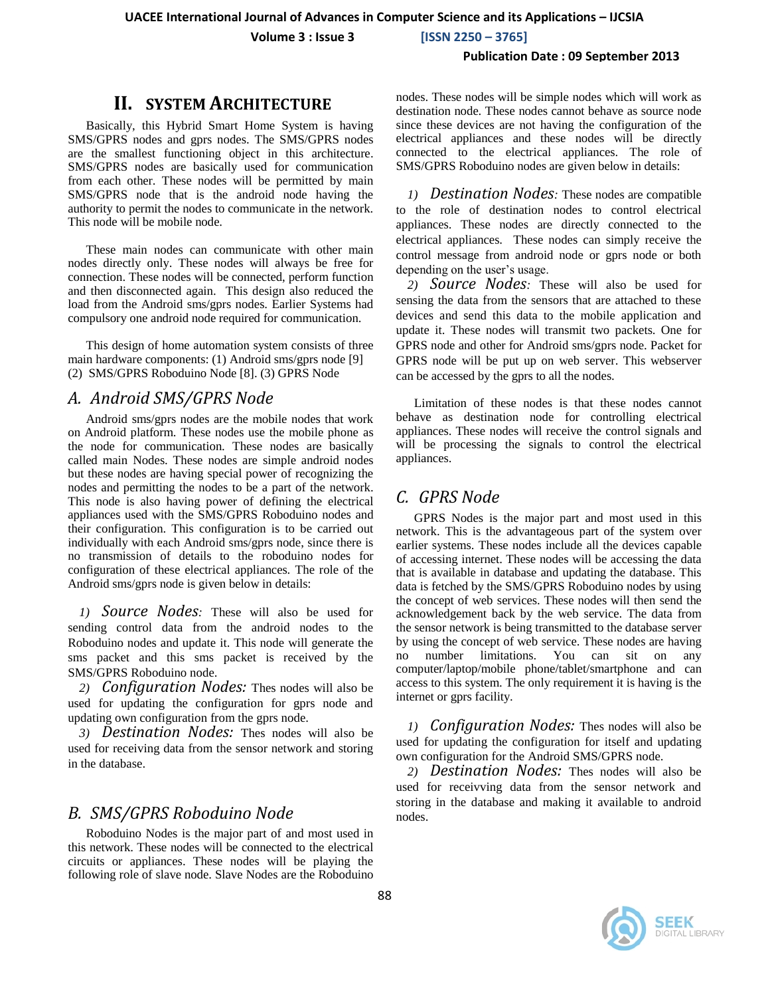**UACEE International Journal of Advances in Computer Science and its Applications – IJCSIA**

 **Volume 3 : Issue 3 [ISSN 2250 – 3765]**

#### **Publication Date : 09 September 2013**

## **II. SYSTEM ARCHITECTURE**

Basically, this Hybrid Smart Home System is having SMS/GPRS nodes and gprs nodes. The SMS/GPRS nodes are the smallest functioning object in this architecture. SMS/GPRS nodes are basically used for communication from each other. These nodes will be permitted by main SMS/GPRS node that is the android node having the authority to permit the nodes to communicate in the network. This node will be mobile node.

These main nodes can communicate with other main nodes directly only. These nodes will always be free for connection. These nodes will be connected, perform function and then disconnected again. This design also reduced the load from the Android sms/gprs nodes. Earlier Systems had compulsory one android node required for communication.

This design of home automation system consists of three main hardware components: (1) Android sms/gprs node [9] (2) SMS/GPRS Roboduino Node [8]. (3) GPRS Node

### *A. Android SMS/GPRS Node*

Android sms/gprs nodes are the mobile nodes that work on Android platform. These nodes use the mobile phone as the node for communication. These nodes are basically called main Nodes. These nodes are simple android nodes but these nodes are having special power of recognizing the nodes and permitting the nodes to be a part of the network. This node is also having power of defining the electrical appliances used with the SMS/GPRS Roboduino nodes and their configuration. This configuration is to be carried out individually with each Android sms/gprs node, since there is no transmission of details to the roboduino nodes for configuration of these electrical appliances. The role of the Android sms/gprs node is given below in details:

*1) Source Nodes:* These will also be used for sending control data from the android nodes to the Roboduino nodes and update it. This node will generate the sms packet and this sms packet is received by the SMS/GPRS Roboduino node.

*2) Configuration Nodes:* Thes nodes will also be used for updating the configuration for gprs node and updating own configuration from the gprs node.

*3) Destination Nodes:* Thes nodes will also be used for receiving data from the sensor network and storing in the database.

### *B. SMS/GPRS Roboduino Node*

Roboduino Nodes is the major part of and most used in this network. These nodes will be connected to the electrical circuits or appliances. These nodes will be playing the following role of slave node. Slave Nodes are the Roboduino nodes. These nodes will be simple nodes which will work as destination node. These nodes cannot behave as source node since these devices are not having the configuration of the electrical appliances and these nodes will be directly connected to the electrical appliances. The role of SMS/GPRS Roboduino nodes are given below in details:

*1) Destination Nodes:* These nodes are compatible to the role of destination nodes to control electrical appliances. These nodes are directly connected to the electrical appliances. These nodes can simply receive the control message from android node or gprs node or both depending on the user's usage.

*2) Source Nodes:* These will also be used for sensing the data from the sensors that are attached to these devices and send this data to the mobile application and update it. These nodes will transmit two packets. One for GPRS node and other for Android sms/gprs node. Packet for GPRS node will be put up on web server. This webserver can be accessed by the gprs to all the nodes.

Limitation of these nodes is that these nodes cannot behave as destination node for controlling electrical appliances. These nodes will receive the control signals and will be processing the signals to control the electrical appliances.

### *C. GPRS Node*

GPRS Nodes is the major part and most used in this network. This is the advantageous part of the system over earlier systems. These nodes include all the devices capable of accessing internet. These nodes will be accessing the data that is available in database and updating the database. This data is fetched by the SMS/GPRS Roboduino nodes by using the concept of web services. These nodes will then send the acknowledgement back by the web service. The data from the sensor network is being transmitted to the database server by using the concept of web service. These nodes are having no number limitations. You can sit on any computer/laptop/mobile phone/tablet/smartphone and can access to this system. The only requirement it is having is the internet or gprs facility.

*1) Configuration Nodes:* Thes nodes will also be used for updating the configuration for itself and updating own configuration for the Android SMS/GPRS node.

*2) Destination Nodes:* Thes nodes will also be used for receivving data from the sensor network and storing in the database and making it available to android nodes.

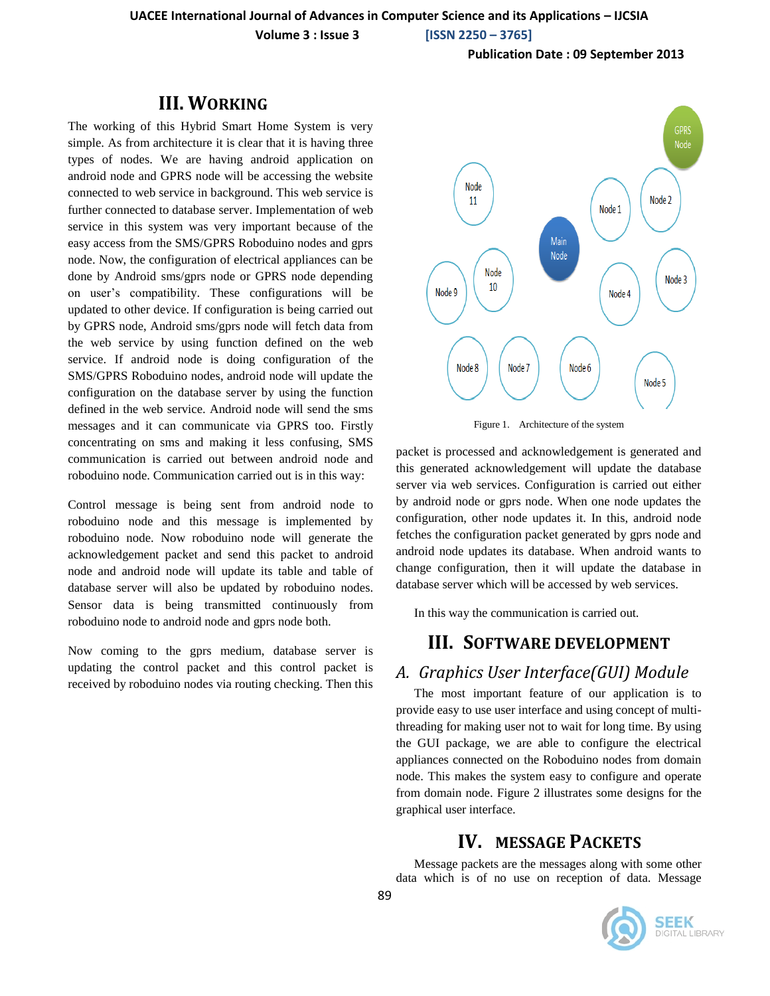**Volume 3 : Issue 3 [ISSN 2250 – 3765]**

**Publication Date : 09 September 2013**

# **III. WORKING**

The working of this Hybrid Smart Home System is very simple. As from architecture it is clear that it is having three types of nodes. We are having android application on android node and GPRS node will be accessing the website connected to web service in background. This web service is further connected to database server. Implementation of web service in this system was very important because of the easy access from the SMS/GPRS Roboduino nodes and gprs node. Now, the configuration of electrical appliances can be done by Android sms/gprs node or GPRS node depending on user's compatibility. These configurations will be updated to other device. If configuration is being carried out by GPRS node, Android sms/gprs node will fetch data from the web service by using function defined on the web service. If android node is doing configuration of the SMS/GPRS Roboduino nodes, android node will update the configuration on the database server by using the function defined in the web service. Android node will send the sms messages and it can communicate via GPRS too. Firstly concentrating on sms and making it less confusing, SMS communication is carried out between android node and roboduino node. Communication carried out is in this way:

Control message is being sent from android node to roboduino node and this message is implemented by roboduino node. Now roboduino node will generate the acknowledgement packet and send this packet to android node and android node will update its table and table of database server will also be updated by roboduino nodes. Sensor data is being transmitted continuously from roboduino node to android node and gprs node both.

Now coming to the gprs medium, database server is updating the control packet and this control packet is received by roboduino nodes via routing checking. Then this



Figure 1. Architecture of the system

packet is processed and acknowledgement is generated and this generated acknowledgement will update the database server via web services. Configuration is carried out either by android node or gprs node. When one node updates the configuration, other node updates it. In this, android node fetches the configuration packet generated by gprs node and android node updates its database. When android wants to change configuration, then it will update the database in database server which will be accessed by web services.

In this way the communication is carried out.

# **III. SOFTWARE DEVELOPMENT**

# *A. Graphics User Interface(GUI) Module*

The most important feature of our application is to provide easy to use user interface and using concept of multithreading for making user not to wait for long time. By using the GUI package, we are able to configure the electrical appliances connected on the Roboduino nodes from domain node. This makes the system easy to configure and operate from domain node. Figure 2 illustrates some designs for the graphical user interface.

# **IV. MESSAGE PACKETS**

Message packets are the messages along with some other data which is of no use on reception of data. Message

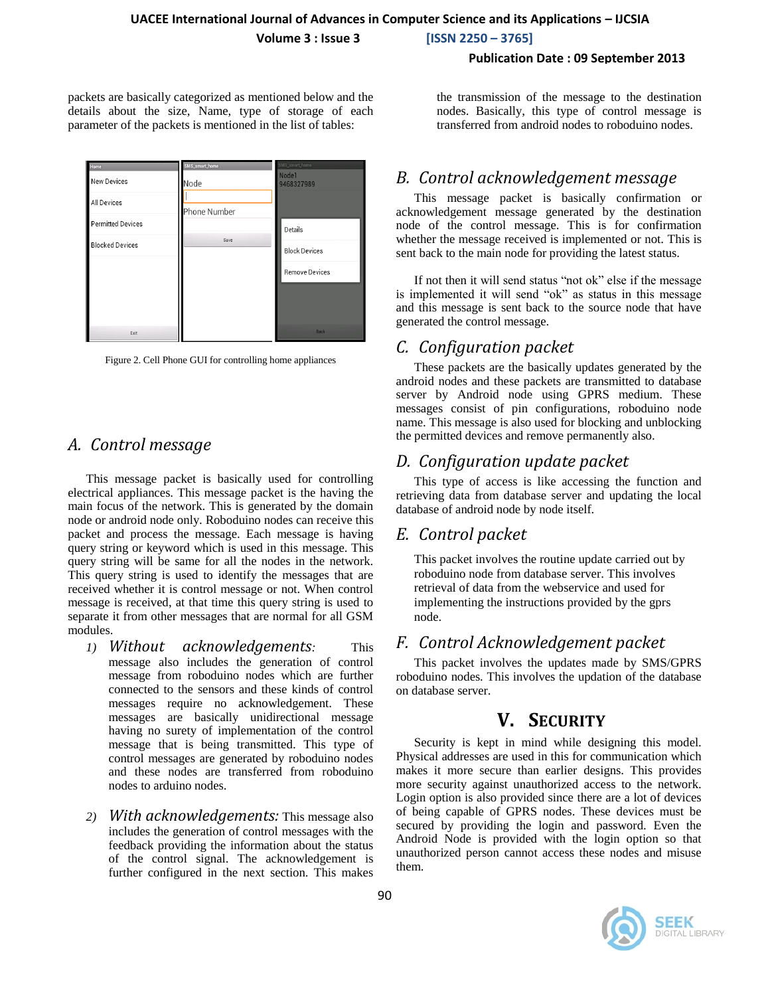**Volume 3 : Issue 3 [ISSN 2250 – 3765]**

#### **Publication Date : 09 September 2013**

packets are basically categorized as mentioned below and the details about the size, Name, type of storage of each parameter of the packets is mentioned in the list of tables:

| Home                     | SMS_smart_home | SMS_smart_home                  |
|--------------------------|----------------|---------------------------------|
| <b>New Devices</b>       | Node           | Node <sub>1</sub><br>9468327989 |
| <b>All Devices</b>       |                |                                 |
|                          | Phone Number   |                                 |
| <b>Permitted Devices</b> |                | Details                         |
| <b>Blocked Devices</b>   | Save           |                                 |
|                          |                | <b>Block Devices</b>            |
|                          |                |                                 |
|                          |                | <b>Remove Devices</b>           |
|                          |                |                                 |
|                          |                |                                 |
|                          |                |                                 |
| Exit                     |                | <b>Back</b>                     |



# *A. Control message*

This message packet is basically used for controlling electrical appliances. This message packet is the having the main focus of the network. This is generated by the domain node or android node only. Roboduino nodes can receive this packet and process the message. Each message is having query string or keyword which is used in this message. This query string will be same for all the nodes in the network. This query string is used to identify the messages that are received whether it is control message or not. When control message is received, at that time this query string is used to separate it from other messages that are normal for all GSM modules.

- *1) Without acknowledgements:* This message also includes the generation of control message from roboduino nodes which are further connected to the sensors and these kinds of control messages require no acknowledgement. These messages are basically unidirectional message having no surety of implementation of the control message that is being transmitted. This type of control messages are generated by roboduino nodes and these nodes are transferred from roboduino nodes to arduino nodes.
- *2) With acknowledgements:* This message also includes the generation of control messages with the feedback providing the information about the status of the control signal. The acknowledgement is further configured in the next section. This makes

the transmission of the message to the destination nodes. Basically, this type of control message is transferred from android nodes to roboduino nodes.

# *B. Control acknowledgement message*

This message packet is basically confirmation or acknowledgement message generated by the destination node of the control message. This is for confirmation whether the message received is implemented or not. This is sent back to the main node for providing the latest status.

If not then it will send status "not ok" else if the message is implemented it will send "ok" as status in this message and this message is sent back to the source node that have generated the control message.

# *C. Configuration packet*

These packets are the basically updates generated by the android nodes and these packets are transmitted to database server by Android node using GPRS medium. These messages consist of pin configurations, roboduino node name. This message is also used for blocking and unblocking the permitted devices and remove permanently also.

# *D. Configuration update packet*

This type of access is like accessing the function and retrieving data from database server and updating the local database of android node by node itself.

# *E. Control packet*

This packet involves the routine update carried out by roboduino node from database server. This involves retrieval of data from the webservice and used for implementing the instructions provided by the gprs node.

# *F. Control Acknowledgement packet*

This packet involves the updates made by SMS/GPRS roboduino nodes. This involves the updation of the database on database server.

# **V. SECURITY**

Security is kept in mind while designing this model. Physical addresses are used in this for communication which makes it more secure than earlier designs. This provides more security against unauthorized access to the network. Login option is also provided since there are a lot of devices of being capable of GPRS nodes. These devices must be secured by providing the login and password. Even the Android Node is provided with the login option so that unauthorized person cannot access these nodes and misuse them.